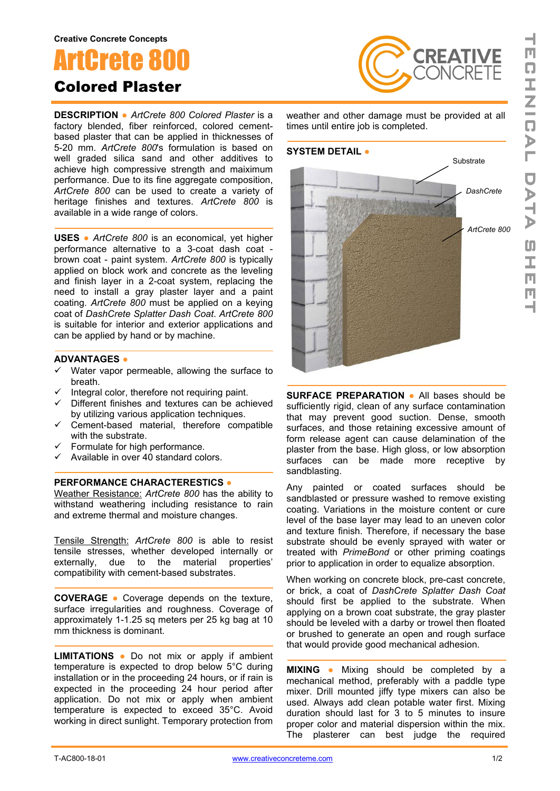# ArtCrete 8

## Colored Plaster

**DESCRIPTION ●** *ArtCrete 800 Colored Plaster* is a factory blended, fiber reinforced, colored cementbased plaster that can be applied in thicknesses of 5-20 mm. *ArtCrete 800*'s formulation is based on well graded silica sand and other additives to achieve high compressive strength and maiximum performance. Due to its fine aggregate composition, *ArtCrete 800* can be used to create a variety of heritage finishes and textures. *ArtCrete 800* is available in a wide range of colors.

**USES ●** *ArtCrete 800* is an economical, yet higher performance alternative to a 3-coat dash coat brown coat - paint system. *ArtCrete 800* is typically applied on block work and concrete as the leveling and finish layer in a 2-coat system, replacing the need to install a gray plaster layer and a paint coating. *ArtCrete 800* must be applied on a keying coat of *DashCrete Splatter Dash Coat*. *ArtCrete 800* is suitable for interior and exterior applications and can be applied by hand or by machine.

#### **ADVANTAGES ●**

- $\checkmark$  Water vapor permeable, allowing the surface to breath.
- $\checkmark$  Integral color, therefore not requiring paint.
- $\checkmark$  Different finishes and textures can be achieved by utilizing various application techniques.
- $\checkmark$  Cement-based material, therefore compatible with the substrate.
- $\checkmark$  Formulate for high performance.
- $\checkmark$  Available in over 40 standard colors.

#### **PERFORMANCE CHARACTERESTICS ●**

Weather Resistance: *ArtCrete 800* has the ability to withstand weathering including resistance to rain and extreme thermal and moisture changes.

Tensile Strength: *ArtCrete 800* is able to resist tensile stresses, whether developed internally or externally, due to the material properties' compatibility with cement-based substrates.

**COVERAGE ●** Coverage depends on the texture, surface irregularities and roughness. Coverage of approximately 1-1.25 sq meters per 25 kg bag at 10 mm thickness is dominant.

**LIMITATIONS ●** Do not mix or apply if ambient temperature is expected to drop below 5°C during installation or in the proceeding 24 hours, or if rain is expected in the proceeding 24 hour period after application. Do not mix or apply when ambient temperature is expected to exceed 35°C. Avoid working in direct sunlight. Temporary protection from

weather and other damage must be provided at all times until entire job is completed.

**CREATIVE**<br>CONCRETE

#### **SYSTEM DETAIL ●**



**SURFACE PREPARATION ●** All bases should be sufficiently rigid, clean of any surface contamination that may prevent good suction. Dense, smooth surfaces, and those retaining excessive amount of form release agent can cause delamination of the plaster from the base. High gloss, or low absorption surfaces can be made more receptive by sandblasting.

Any painted or coated surfaces should be sandblasted or pressure washed to remove existing coating. Variations in the moisture content or cure level of the base layer may lead to an uneven color and texture finish. Therefore, if necessary the base substrate should be evenly sprayed with water or treated with *PrimeBond* or other priming coatings prior to application in order to equalize absorption.

When working on concrete block, pre-cast concrete, or brick, a coat of *DashCrete Splatter Dash Coat* should first be applied to the substrate. When applying on a brown coat substrate, the gray plaster should be leveled with a darby or trowel then floated or brushed to generate an open and rough surface that would provide good mechanical adhesion.

**MIXING ●** Mixing should be completed by a mechanical method, preferably with a paddle type mixer. Drill mounted jiffy type mixers can also be used. Always add clean potable water first. Mixing duration should last for 3 to 5 minutes to insure proper color and material dispersion within the mix. The plasterer can best judge the required